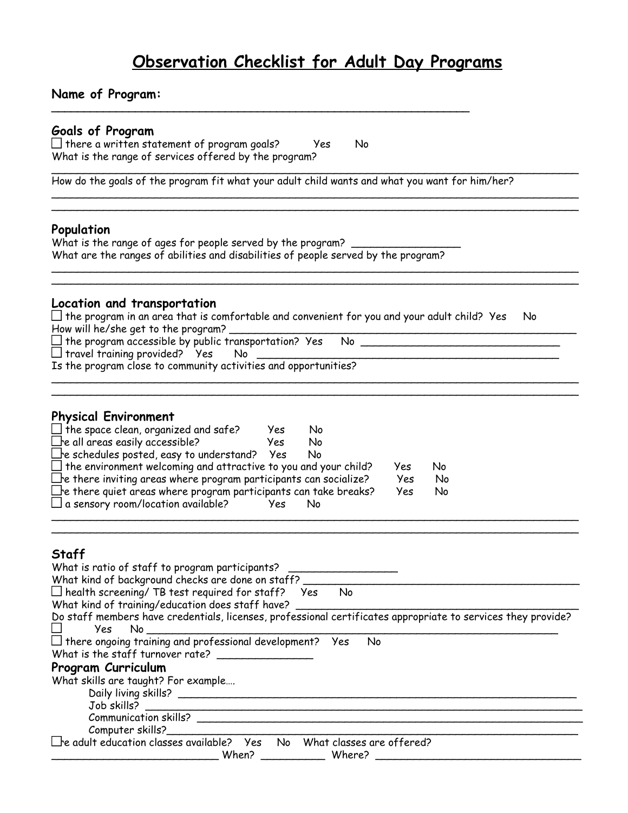# **Observation Checklist for Adult Day Programs**

\_\_\_\_\_\_\_\_\_\_\_\_\_\_\_\_\_\_\_\_\_\_\_\_\_\_\_\_\_\_\_\_\_\_\_\_\_\_\_\_\_\_\_\_\_\_\_\_\_\_\_\_\_\_\_\_\_\_\_\_\_\_\_\_\_\_\_\_\_\_\_\_\_\_\_\_\_\_\_\_\_\_

\_\_\_\_\_\_\_\_\_\_\_\_\_\_\_\_\_\_\_\_\_\_\_\_\_\_\_\_\_\_\_\_\_\_\_\_\_\_\_\_\_\_\_\_\_\_\_\_\_\_\_\_\_\_\_\_\_\_\_\_\_\_\_\_\_\_\_\_\_\_\_\_\_\_\_\_\_\_\_\_\_\_ \_\_\_\_\_\_\_\_\_\_\_\_\_\_\_\_\_\_\_\_\_\_\_\_\_\_\_\_\_\_\_\_\_\_\_\_\_\_\_\_\_\_\_\_\_\_\_\_\_\_\_\_\_\_\_\_\_\_\_\_\_\_\_\_\_\_\_\_\_\_\_\_\_\_\_\_\_\_\_\_\_\_

\_\_\_\_\_\_\_\_\_\_\_\_\_\_\_\_\_\_\_\_\_\_\_\_\_\_\_\_\_\_\_\_\_\_\_\_\_\_\_\_\_\_\_\_\_\_\_\_\_\_\_\_\_\_\_\_\_\_\_\_\_\_\_\_\_\_\_\_\_\_\_\_\_\_\_\_\_\_\_\_\_\_ \_\_\_\_\_\_\_\_\_\_\_\_\_\_\_\_\_\_\_\_\_\_\_\_\_\_\_\_\_\_\_\_\_\_\_\_\_\_\_\_\_\_\_\_\_\_\_\_\_\_\_\_\_\_\_\_\_\_\_\_\_\_\_\_\_\_\_\_\_\_\_\_\_\_\_\_\_\_\_\_\_\_

\_\_\_\_\_\_\_\_\_\_\_\_\_\_\_\_\_\_\_\_\_\_\_\_\_\_\_\_\_\_\_\_\_\_\_\_\_\_\_\_\_\_\_\_\_\_\_\_\_\_\_\_\_\_\_\_\_\_\_\_\_\_\_\_\_\_\_\_\_\_\_\_\_\_\_\_\_\_\_\_\_\_ \_\_\_\_\_\_\_\_\_\_\_\_\_\_\_\_\_\_\_\_\_\_\_\_\_\_\_\_\_\_\_\_\_\_\_\_\_\_\_\_\_\_\_\_\_\_\_\_\_\_\_\_\_\_\_\_\_\_\_\_\_\_\_\_\_\_\_\_\_\_\_\_\_\_\_\_\_\_\_\_\_\_

# **Name of Program:**

### **Goals of Program**

 $\Box$  there a written statement of program goals? Yes No What is the range of services offered by the program?

How do the goals of the program fit what your adult child wants and what you want for him/her?

**\_\_\_\_\_\_\_\_\_\_\_\_\_\_\_\_\_\_\_\_\_\_\_\_\_\_\_\_\_\_\_\_\_\_\_\_\_\_\_\_\_\_\_\_\_\_\_\_\_\_\_\_\_\_\_\_\_\_\_\_\_\_\_\_\_**

#### **Population**

What is the range of ages for people served by the program? What are the ranges of abilities and disabilities of people served by the program?

#### **Location and transportation**

 $\Box$  the program in an area that is comfortable and convenient for you and your adult child? Yes No How will he/she get to the program? \_\_\_\_\_\_\_\_\_\_\_\_\_\_\_\_\_\_\_\_\_\_\_\_\_\_\_\_\_\_\_\_\_\_\_\_\_\_\_\_\_\_\_\_\_\_\_\_\_\_\_\_\_\_

Is the program accessible by public transportation? Yes No \_\_\_\_\_\_\_\_\_\_\_\_\_\_\_\_\_\_\_\_\_\_\_\_\_\_\_\_\_\_\_

 $\Box$  travel training provided? Yes No

Is the program close to community activities and opportunities?

#### **Physical Environment**

| $\square$ the space clean, organized and safe?                            | Yes  | No  |     |    |  |
|---------------------------------------------------------------------------|------|-----|-----|----|--|
| $\square$ e all areas easily accessible?                                  | Yes. | N٥  |     |    |  |
| $\Box$ e schedules posted, easy to understand? Yes                        |      | No  |     |    |  |
| $\square$ the environment welcoming and attractive to you and your child? |      |     | Yes | No |  |
| $\Box$ e there inviting areas where program participants can socialize?   |      |     | Yes | No |  |
| $\Box$ e there quiet areas where program participants can take breaks?    |      |     | Yes | No |  |
| $\square$ a sensory room/location available?                              | Yes. | No. |     |    |  |
|                                                                           |      |     |     |    |  |

## **Staff**

| What is ratio of staff to program participants?                                                                        |
|------------------------------------------------------------------------------------------------------------------------|
| What kind of background checks are done on staff?                                                                      |
| $\Box$ health screening/ TB test required for staff? Yes<br>No.                                                        |
| What kind of training/education does staff have?                                                                       |
| Do staff members have credentials, licenses, professional certificates appropriate to services they provide?<br>Yes No |
| $\Box$ there ongoing training and professional development? Yes<br>No                                                  |
| What is the staff turnover rate?                                                                                       |
| Program Curriculum                                                                                                     |
| What skills are taught? For example                                                                                    |
| Daily living skills?                                                                                                   |
| Job skills?                                                                                                            |
| Communication skills?                                                                                                  |
| Computer skills?_____________                                                                                          |
| $\Box$ e adult education classes available? Yes<br>No What classes are offered?                                        |
| When?<br>Where?                                                                                                        |

\_\_\_\_\_\_\_\_\_\_\_\_\_\_\_\_\_\_\_\_\_\_\_\_\_\_\_\_\_\_\_\_\_\_\_\_\_\_\_\_\_\_\_\_\_\_\_\_\_\_\_\_\_\_\_\_\_\_\_\_\_\_\_\_\_\_\_\_\_\_\_\_\_\_\_\_\_\_\_\_\_\_